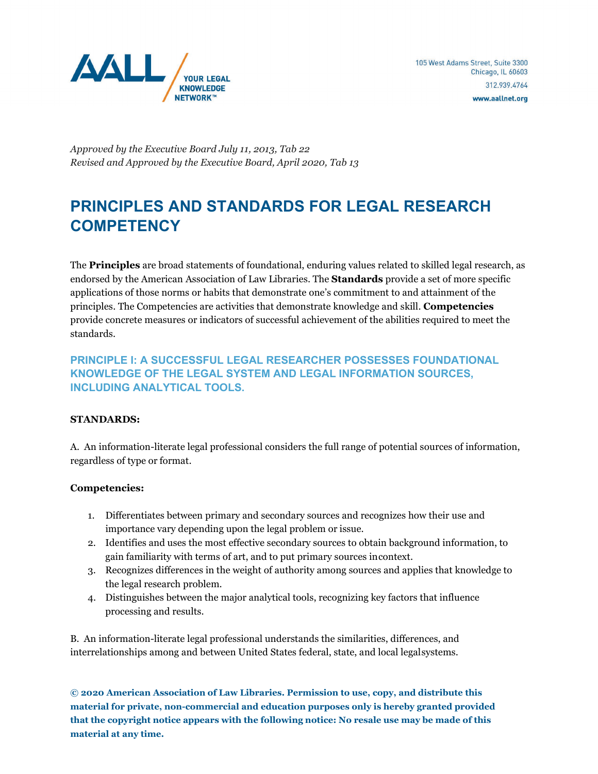

*Approved by the Executive Board July 11, 2013, Tab 22 Revised and Approved by the Executive Board, April 2020, Tab 13*

# **PRINCIPLES AND STANDARDS FOR LEGAL RESEARCH COMPETENCY**

The **Principles** are broad statements of foundational, enduring values related to skilled legal research, as endorsed by the American Association of Law Libraries. The **Standards** provide a set of more specific applications of those norms or habits that demonstrate one's commitment to and attainment of the principles. The Competencies are activities that demonstrate knowledge and skill. **Competencies** provide concrete measures or indicators of successful achievement of the abilities required to meet the standards.

**PRINCIPLE I: A SUCCESSFUL LEGAL RESEARCHER POSSESSES FOUNDATIONAL KNOWLEDGE OF THE LEGAL SYSTEM AND LEGAL INFORMATION SOURCES, INCLUDING ANALYTICAL TOOLS.**

# **STANDARDS:**

A. An information-literate legal professional considers the full range of potential sources of information, regardless of type or format.

# **Competencies:**

- 1. Differentiates between primary and secondary sources and recognizes how their use and importance vary depending upon the legal problem or issue.
- 2. Identifies and uses the most effective secondary sources to obtain background information, to gain familiarity with terms of art, and to put primary sources incontext.
- 3. Recognizes differences in the weight of authority among sources and applies that knowledge to the legal research problem.
- 4. Distinguishes between the major analytical tools, recognizing key factors that influence processing and results.

B. An information-literate legal professional understands the similarities, differences, and interrelationships among and between United States federal, state, and local legalsystems.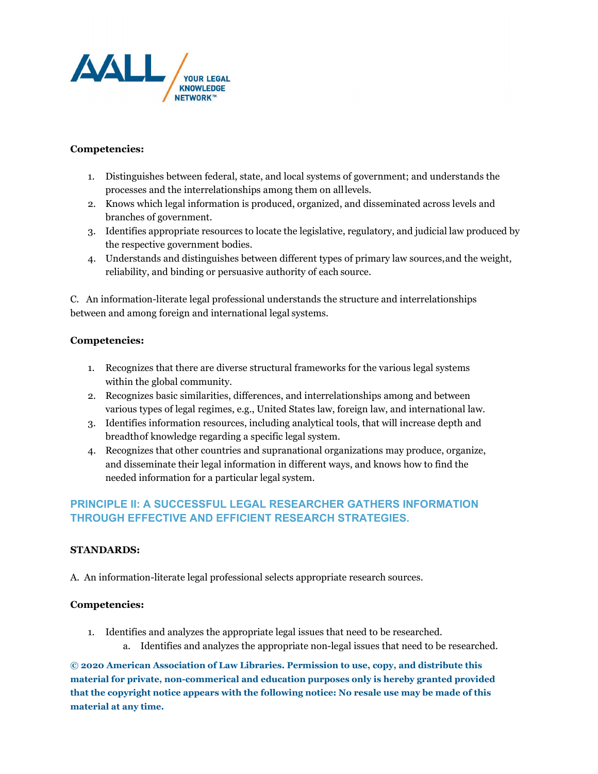

# **Competencies:**

- 1. Distinguishes between federal, state, and local systems of government; and understands the processes and the interrelationships among them on alllevels.
- 2. Knows which legal information is produced, organized, and disseminated across levels and branches of government.
- 3. Identifies appropriate resources to locate the legislative, regulatory, and judicial law produced by the respective government bodies.
- 4. Understands and distinguishes between different types of primary law sources,and the weight, reliability, and binding or persuasive authority of each source.

C. An information-literate legal professional understands the structure and interrelationships between and among foreign and international legal systems.

# **Competencies:**

- 1. Recognizes that there are diverse structural frameworks for the various legal systems within the global community.
- 2. Recognizes basic similarities, differences, and interrelationships among and between various types of legal regimes, e.g., United States law, foreign law, and international law.
- 3. Identifies information resources, including analytical tools, that will increase depth and breadthof knowledge regarding a specific legal system.
- 4. Recognizes that other countries and supranational organizations may produce, organize, and disseminate their legal information in different ways, and knows how to find the needed information for a particular legal system.

# **PRINCIPLE II: A SUCCESSFUL LEGAL RESEARCHER GATHERS INFORMATION THROUGH EFFECTIVE AND EFFICIENT RESEARCH STRATEGIES.**

# **STANDARDS:**

A. An information-literate legal professional selects appropriate research sources.

# **Competencies:**

- 1. Identifies and analyzes the appropriate legal issues that need to be researched.
	- a. Identifies and analyzes the appropriate non-legal issues that need to be researched.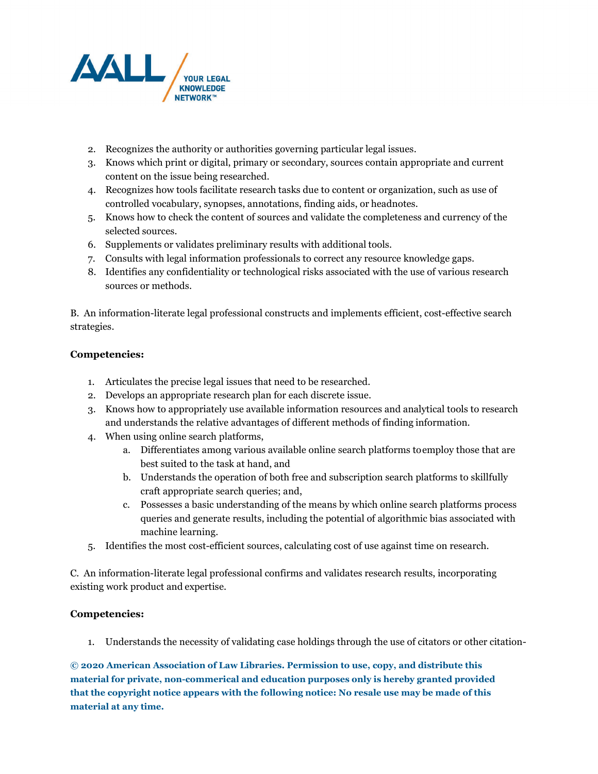

- 2. Recognizes the authority or authorities governing particular legal issues.
- 3. Knows which print or digital, primary or secondary, sources contain appropriate and current content on the issue being researched.
- 4. Recognizes how tools facilitate research tasks due to content or organization, such as use of controlled vocabulary, synopses, annotations, finding aids, or headnotes.
- 5. Knows how to check the content of sources and validate the completeness and currency of the selected sources.
- 6. Supplements or validates preliminary results with additional tools.
- 7. Consults with legal information professionals to correct any resource knowledge gaps.
- 8. Identifies any confidentiality or technological risks associated with the use of various research sources or methods.

B. An information-literate legal professional constructs and implements efficient, cost-effective search strategies.

# **Competencies:**

- 1. Articulates the precise legal issues that need to be researched.
- 2. Develops an appropriate research plan for each discrete issue.
- 3. Knows how to appropriately use available information resources and analytical tools to research and understands the relative advantages of different methods of finding information.
- 4. When using online search platforms,
	- a. Differentiates among various available online search platforms toemploy those that are best suited to the task at hand, and
	- b. Understands the operation of both free and subscription search platforms to skillfully craft appropriate search queries; and,
	- c. Possesses a basic understanding of the means by which online search platforms process queries and generate results, including the potential of algorithmic bias associated with machine learning.
- 5. Identifies the most cost-efficient sources, calculating cost of use against time on research.

C. An information-literate legal professional confirms and validates research results, incorporating existing work product and expertise.

# **Competencies:**

1. Understands the necessity of validating case holdings through the use of citators or other citation-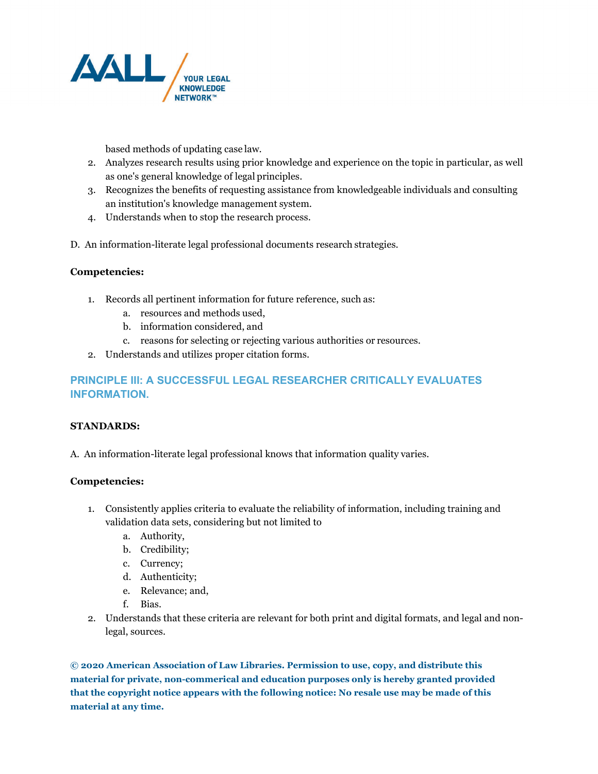

based methods of updating case law.

- 2. Analyzes research results using prior knowledge and experience on the topic in particular, as well as one's general knowledge of legal principles.
- 3. Recognizes the benefits of requesting assistance from knowledgeable individuals and consulting an institution's knowledge management system.
- 4. Understands when to stop the research process.
- D. An information-literate legal professional documents research strategies.

# **Competencies:**

- 1. Records all pertinent information for future reference, such as:
	- a. resources and methods used,
	- b. information considered, and
	- c. reasons for selecting or rejecting various authorities or resources.
- 2. Understands and utilizes proper citation forms.

# **PRINCIPLE III: A SUCCESSFUL LEGAL RESEARCHER CRITICALLY EVALUATES INFORMATION.**

# **STANDARDS:**

A. An information-literate legal professional knows that information quality varies.

# **Competencies:**

- 1. Consistently applies criteria to evaluate the reliability of information, including training and validation data sets, considering but not limited to
	- a. Authority,
	- b. Credibility;
	- c. Currency;
	- d. Authenticity;
	- e. Relevance; and,
	- f. Bias.
- 2. Understands that these criteria are relevant for both print and digital formats, and legal and nonlegal, sources.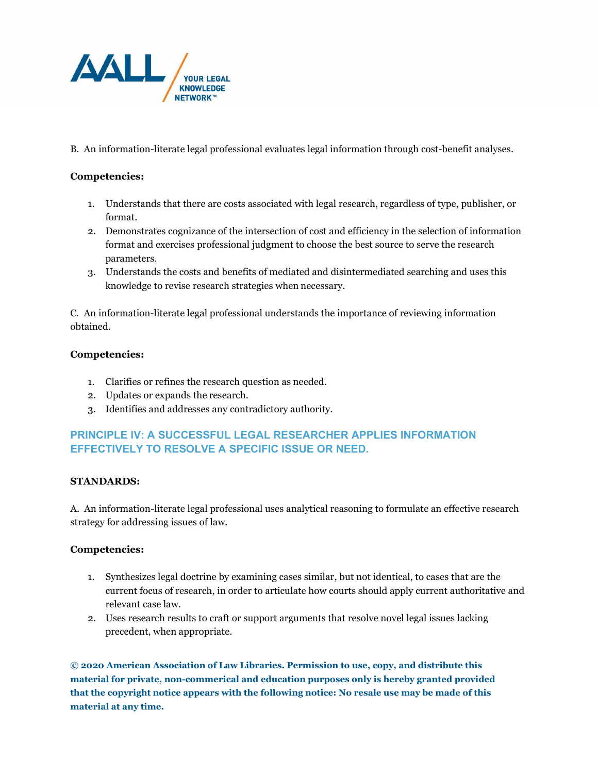

B. An information-literate legal professional evaluates legal information through cost-benefit analyses.

# **Competencies:**

- 1. Understands that there are costs associated with legal research, regardless of type, publisher, or format.
- 2. Demonstrates cognizance of the intersection of cost and efficiency in the selection of information format and exercises professional judgment to choose the best source to serve the research parameters.
- 3. Understands the costs and benefits of mediated and disintermediated searching and uses this knowledge to revise research strategies when necessary.

C. An information-literate legal professional understands the importance of reviewing information obtained.

# **Competencies:**

- 1. Clarifies or refines the research question as needed.
- 2. Updates or expands the research.
- 3. Identifies and addresses any contradictory authority.

# **PRINCIPLE IV: A SUCCESSFUL LEGAL RESEARCHER APPLIES INFORMATION EFFECTIVELY TO RESOLVE A SPECIFIC ISSUE OR NEED.**

# **STANDARDS:**

A. An information-literate legal professional uses analytical reasoning to formulate an effective research strategy for addressing issues of law.

# **Competencies:**

- 1. Synthesizes legal doctrine by examining cases similar, but not identical, to cases that are the current focus of research, in order to articulate how courts should apply current authoritative and relevant case law.
- 2. Uses research results to craft or support arguments that resolve novel legal issues lacking precedent, when appropriate.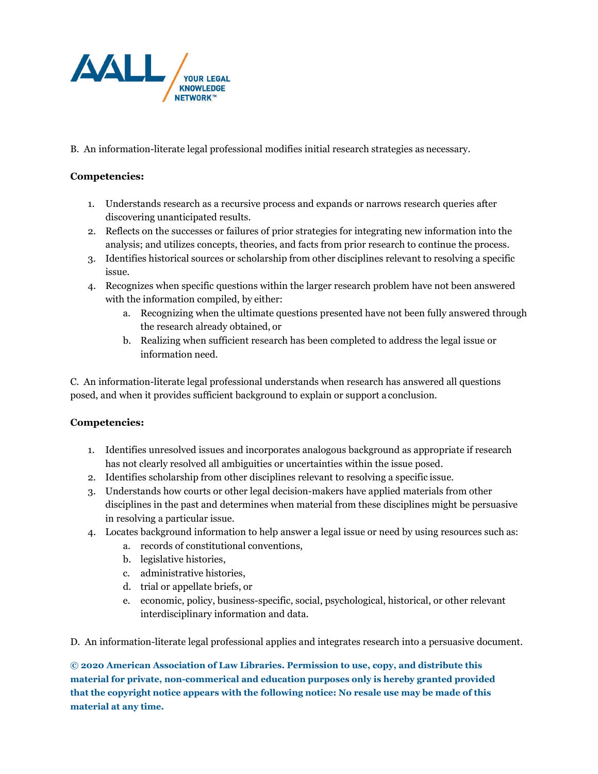

B. An information-literate legal professional modifies initial research strategies as necessary.

# **Competencies:**

- 1. Understands research as a recursive process and expands or narrows research queries after discovering unanticipated results.
- 2. Reflects on the successes or failures of prior strategies for integrating new information into the analysis; and utilizes concepts, theories, and facts from prior research to continue the process.
- 3. Identifies historical sources or scholarship from other disciplines relevant to resolving a specific issue.
- 4. Recognizes when specific questions within the larger research problem have not been answered with the information compiled, by either:
	- a. Recognizing when the ultimate questions presented have not been fully answered through the research already obtained, or
	- b. Realizing when sufficient research has been completed to address the legal issue or information need.

C. An information-literate legal professional understands when research has answered all questions posed, and when it provides sufficient background to explain or support a conclusion.

# **Competencies:**

- 1. Identifies unresolved issues and incorporates analogous background as appropriate if research has not clearly resolved all ambiguities or uncertainties within the issue posed.
- 2. Identifies scholarship from other disciplines relevant to resolving a specific issue.
- 3. Understands how courts or other legal decision-makers have applied materials from other disciplines in the past and determines when material from these disciplines might be persuasive in resolving a particular issue.
- 4. Locates background information to help answer a legal issue or need by using resources such as:
	- a. records of constitutional conventions,
	- b. legislative histories,
	- c. administrative histories,
	- d. trial or appellate briefs, or
	- e. economic, policy, business-specific, social, psychological, historical, or other relevant interdisciplinary information and data.

D. An information-literate legal professional applies and integrates research into a persuasive document.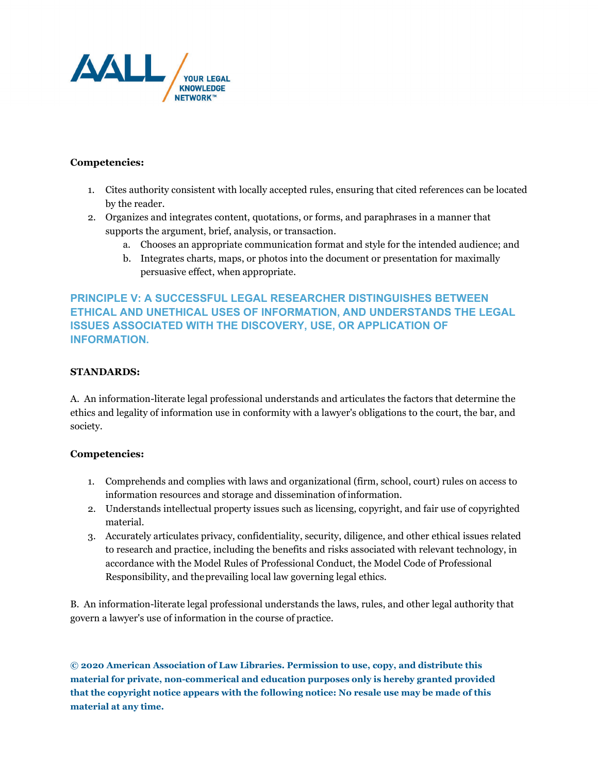

# **Competencies:**

- 1. Cites authority consistent with locally accepted rules, ensuring that cited references can be located by the reader.
- 2. Organizes and integrates content, quotations, or forms, and paraphrases in a manner that supports the argument, brief, analysis, or transaction.
	- a. Chooses an appropriate communication format and style for the intended audience; and
	- b. Integrates charts, maps, or photos into the document or presentation for maximally persuasive effect, when appropriate.

# **PRINCIPLE V: A SUCCESSFUL LEGAL RESEARCHER DISTINGUISHES BETWEEN ETHICAL AND UNETHICAL USES OF INFORMATION, AND UNDERSTANDS THE LEGAL ISSUES ASSOCIATED WITH THE DISCOVERY, USE, OR APPLICATION OF INFORMATION.**

# **STANDARDS:**

A. An information-literate legal professional understands and articulates the factors that determine the ethics and legality of information use in conformity with a lawyer's obligations to the court, the bar, and society.

# **Competencies:**

- 1. Comprehends and complies with laws and organizational (firm, school, court) rules on access to information resources and storage and dissemination ofinformation.
- 2. Understands intellectual property issues such as licensing, copyright, and fair use of copyrighted material.
- 3. Accurately articulates privacy, confidentiality, security, diligence, and other ethical issues related to research and practice, including the benefits and risks associated with relevant technology, in accordance with the Model Rules of Professional Conduct, the Model Code of Professional Responsibility, and theprevailing local law governing legal ethics.

B. An information-literate legal professional understands the laws, rules, and other legal authority that govern a lawyer's use of information in the course of practice.